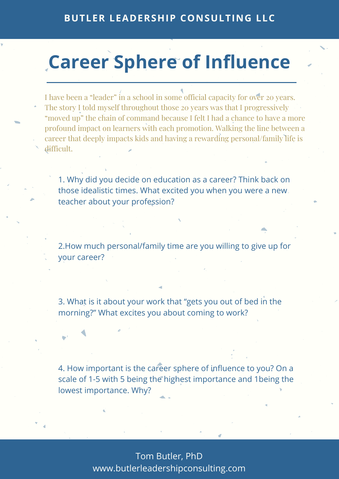Tom Butler, PhD www.butlerleadershipconsulting.com

### **BUTLER LEADERSHIP CONSULTING LLC**

## **Career Sphere of Influence**

I have been a "leader" in a school in some official capacity for over 20 years.

- The story I told myself throughout those 20 years was that I progressively "moved up" the chain of command because I felt I had a chance to have a more profound impact on learners with each promotion. Walking the line between a career that deeply impacts kids and having a rewarding personal/family life is
- difficult.

1. Why did you decide on education as a career? Think back on those idealistic times. What excited you when you were a new teacher about your profession?

2.How much personal/family time are you willing to give up for your career?

3. What is it about your work that "gets you out of bed in the morning?" What excites you about coming to work?

4. How important is the career sphere of influence to you? On a scale of 1-5 with 5 being the highest importance and 1being the lowest importance. Why?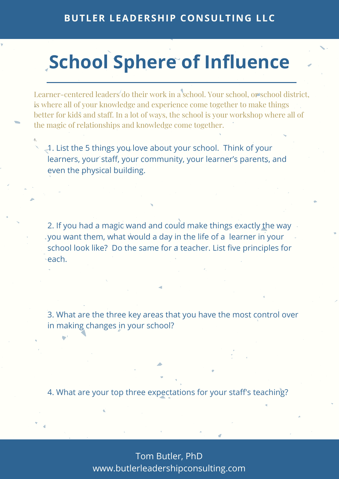Tom Butler, PhD www.butlerleadershipconsulting.com

### **BUTLER LEADERSHIP CONSULTING LLC**

# **School Sphere of Influence**

Learner-centered leaders do their work in a school. Your school, or school district, is where all of your knowledge and experience come together to make things better for kids and staff. In a lot of ways, the school is your workshop where all of the magic of relationships and knowledge come together.

1. List the 5 things you love about your school. Think of your learners, your staff, your community, your learner's parents, and even the physical building.

2. If you had a magic wand and could make things exactly the way you want them, what would a day in the life of a learner in your school look like? Do the same for a teacher. List five principles for

each.

 $-1.$ 

3. What are the three key areas that you have the most control over in making changes in your school?

4. What are your top three expectations for your staff's teaching?